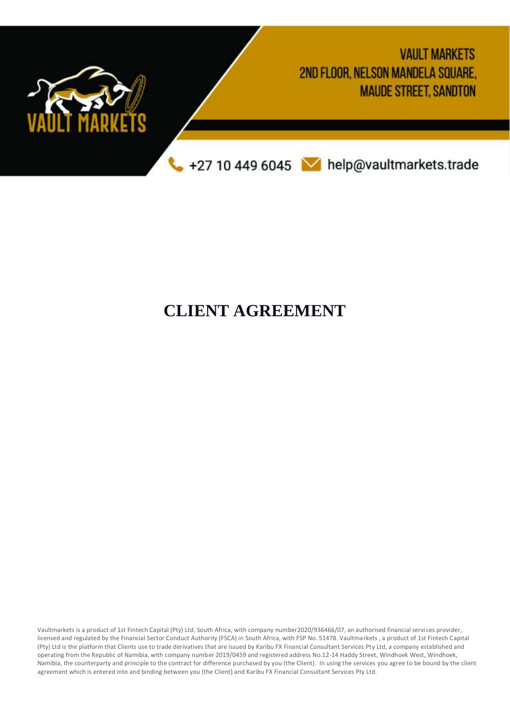

# **CLIENT AGREEMENT**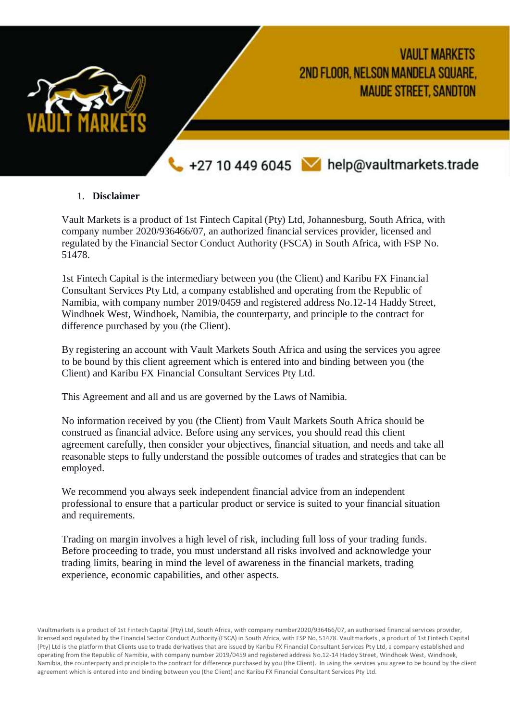

#### 1. **Disclaimer**

Vault Markets is a product of 1st Fintech Capital (Pty) Ltd, Johannesburg, South Africa, with company number 2020/936466/07, an authorized financial services provider, licensed and regulated by the Financial Sector Conduct Authority (FSCA) in South Africa, with FSP No. 51478.

1st Fintech Capital is the intermediary between you (the Client) and Karibu FX Financial Consultant Services Pty Ltd, a company established and operating from the Republic of Namibia, with company number 2019/0459 and registered address No.12-14 Haddy Street, Windhoek West, Windhoek, Namibia, the counterparty, and principle to the contract for difference purchased by you (the Client).

By registering an account with Vault Markets South Africa and using the services you agree to be bound by this client agreement which is entered into and binding between you (the Client) and Karibu FX Financial Consultant Services Pty Ltd.

This Agreement and all and us are governed by the Laws of Namibia.

No information received by you (the Client) from Vault Markets South Africa should be construed as financial advice. Before using any services, you should read this client agreement carefully, then consider your objectives, financial situation, and needs and take all reasonable steps to fully understand the possible outcomes of trades and strategies that can be employed.

We recommend you always seek independent financial advice from an independent professional to ensure that a particular product or service is suited to your financial situation and requirements.

Trading on margin involves a high level of risk, including full loss of your trading funds. Before proceeding to trade, you must understand all risks involved and acknowledge your trading limits, bearing in mind the level of awareness in the financial markets, trading experience, economic capabilities, and other aspects.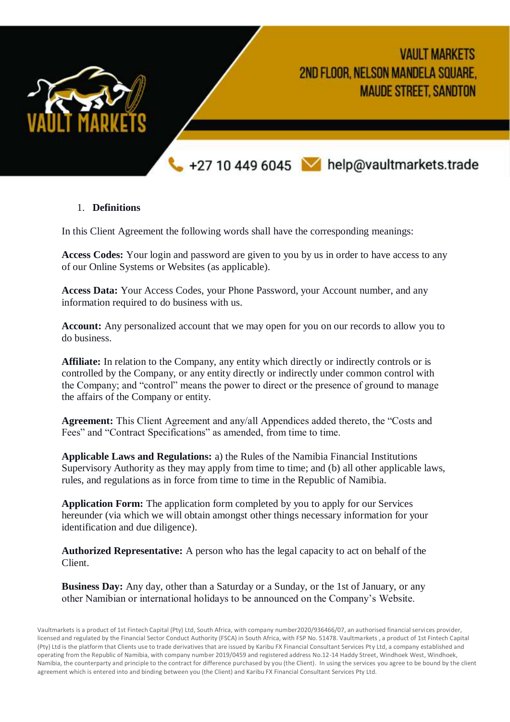

# 1. **Definitions**

In this Client Agreement the following words shall have the corresponding meanings:

**Access Codes:** Your login and password are given to you by us in order to have access to any of our Online Systems or Websites (as applicable).

**Access Data:** Your Access Codes, your Phone Password, your Account number, and any information required to do business with us.

**Account:** Any personalized account that we may open for you on our records to allow you to do business.

**Affiliate:** In relation to the Company, any entity which directly or indirectly controls or is controlled by the Company, or any entity directly or indirectly under common control with the Company; and "control" means the power to direct or the presence of ground to manage the affairs of the Company or entity.

**Agreement:** This Client Agreement and any/all Appendices added thereto, the "Costs and Fees" and "Contract Specifications" as amended, from time to time.

**Applicable Laws and Regulations:** a) the Rules of the Namibia Financial Institutions Supervisory Authority as they may apply from time to time; and (b) all other applicable laws, rules, and regulations as in force from time to time in the Republic of Namibia.

**Application Form:** The application form completed by you to apply for our Services hereunder (via which we will obtain amongst other things necessary information for your identification and due diligence).

**Authorized Representative:** A person who has the legal capacity to act on behalf of the Client.

**Business Day:** Any day, other than a Saturday or a Sunday, or the 1st of January, or any other Namibian or international holidays to be announced on the Company's Website.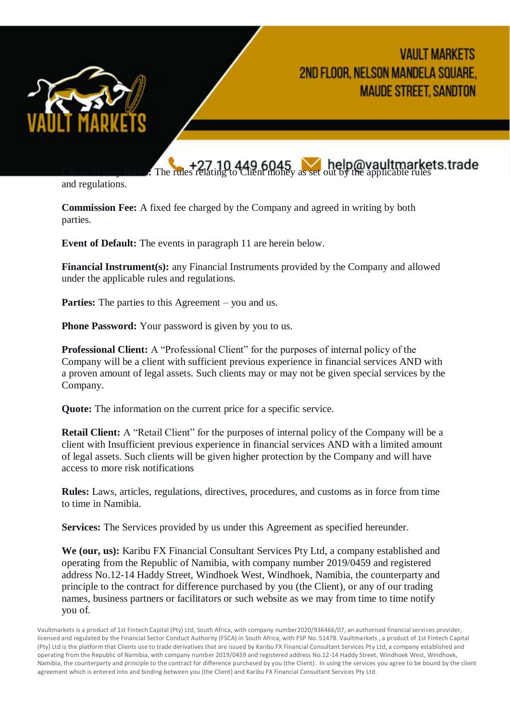

# **Client Money Analytics**: The rules relating to Client money as set out by the applicable rules

and regulations.

**Commission Fee:** A fixed fee charged by the Company and agreed in writing by both parties.

**Event of Default:** The events in paragraph 11 are herein below.

**Financial Instrument(s):** any Financial Instruments provided by the Company and allowed under the applicable rules and regulations.

**Parties:** The parties to this Agreement – you and us.

**Phone Password:** Your password is given by you to us.

**Professional Client:** A "Professional Client" for the purposes of internal policy of the Company will be a client with sufficient previous experience in financial services AND with a proven amount of legal assets. Such clients may or may not be given special services by the Company.

**Quote:** The information on the current price for a specific service.

**Retail Client:** A "Retail Client" for the purposes of internal policy of the Company will be a client with Insufficient previous experience in financial services AND with a limited amount of legal assets. Such clients will be given higher protection by the Company and will have access to more risk notifications

**Rules:** Laws, articles, regulations, directives, procedures, and customs as in force from time to time in Namibia.

**Services:** The Services provided by us under this Agreement as specified hereunder.

**We (our, us):** Karibu FX Financial Consultant Services Pty Ltd, a company established and operating from the Republic of Namibia, with company number 2019/0459 and registered address No.12-14 Haddy Street, Windhoek West, Windhoek, Namibia, the counterparty and principle to the contract for difference purchased by you (the Client), or any of our trading names, business partners or facilitators or such website as we may from time to time notify you of.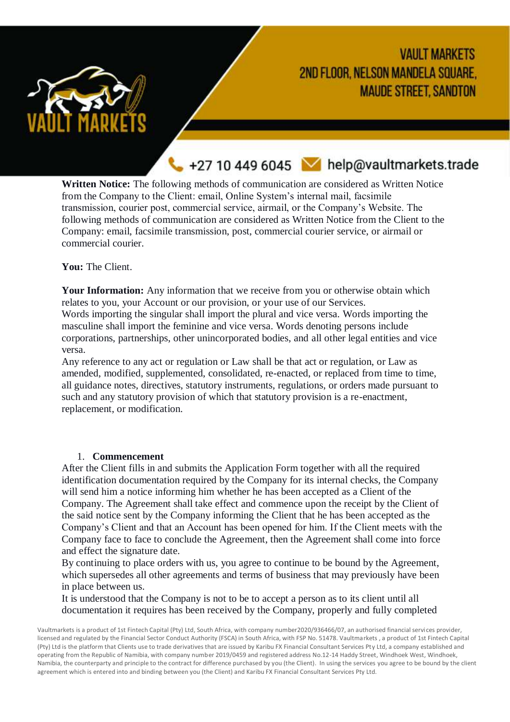

+27 10 449 6045 Melp@vaultmarkets.trade

**Written Notice:** The following methods of communication are considered as Written Notice from the Company to the Client: email, Online System's internal mail, facsimile transmission, courier post, commercial service, airmail, or the Company's Website. The following methods of communication are considered as Written Notice from the Client to the Company: email, facsimile transmission, post, commercial courier service, or airmail or commercial courier.

**You:** The Client.

**Your Information:** Any information that we receive from you or otherwise obtain which relates to you, your Account or our provision, or your use of our Services.

Words importing the singular shall import the plural and vice versa. Words importing the masculine shall import the feminine and vice versa. Words denoting persons include corporations, partnerships, other unincorporated bodies, and all other legal entities and vice versa.

Any reference to any act or regulation or Law shall be that act or regulation, or Law as amended, modified, supplemented, consolidated, re-enacted, or replaced from time to time, all guidance notes, directives, statutory instruments, regulations, or orders made pursuant to such and any statutory provision of which that statutory provision is a re-enactment, replacement, or modification.

#### 1. **Commencement**

After the Client fills in and submits the Application Form together with all the required identification documentation required by the Company for its internal checks, the Company will send him a notice informing him whether he has been accepted as a Client of the Company. The Agreement shall take effect and commence upon the receipt by the Client of the said notice sent by the Company informing the Client that he has been accepted as the Company's Client and that an Account has been opened for him. If the Client meets with the Company face to face to conclude the Agreement, then the Agreement shall come into force and effect the signature date.

By continuing to place orders with us, you agree to continue to be bound by the Agreement, which supersedes all other agreements and terms of business that may previously have been in place between us.

It is understood that the Company is not to be to accept a person as to its client until all documentation it requires has been received by the Company, properly and fully completed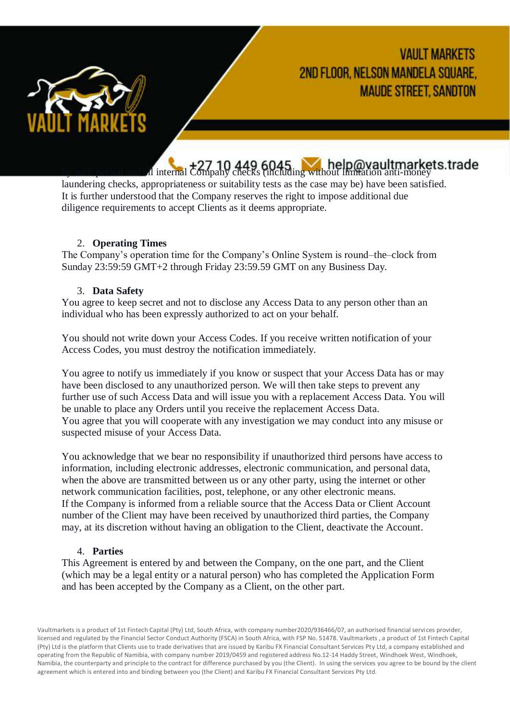

# d internal  $\frac{+27}{+27}$  10 449 6045 help@vaultmarkets.trade

laundering checks, appropriateness or suitability tests as the case may be) have been satisfied. It is further understood that the Company reserves the right to impose additional due diligence requirements to accept Clients as it deems appropriate.

#### 2. **Operating Times**

The Company's operation time for the Company's Online System is round–the–clock from Sunday 23:59:59 GMT+2 through Friday 23:59.59 GMT on any Business Day.

#### 3. **Data Safety**

You agree to keep secret and not to disclose any Access Data to any person other than an individual who has been expressly authorized to act on your behalf.

You should not write down your Access Codes. If you receive written notification of your Access Codes, you must destroy the notification immediately.

You agree to notify us immediately if you know or suspect that your Access Data has or may have been disclosed to any unauthorized person. We will then take steps to prevent any further use of such Access Data and will issue you with a replacement Access Data. You will be unable to place any Orders until you receive the replacement Access Data. You agree that you will cooperate with any investigation we may conduct into any misuse or suspected misuse of your Access Data.

You acknowledge that we bear no responsibility if unauthorized third persons have access to information, including electronic addresses, electronic communication, and personal data, when the above are transmitted between us or any other party, using the internet or other network communication facilities, post, telephone, or any other electronic means. If the Company is informed from a reliable source that the Access Data or Client Account number of the Client may have been received by unauthorized third parties, the Company may, at its discretion without having an obligation to the Client, deactivate the Account.

#### 4. **Parties**

This Agreement is entered by and between the Company, on the one part, and the Client (which may be a legal entity or a natural person) who has completed the Application Form and has been accepted by the Company as a Client, on the other part.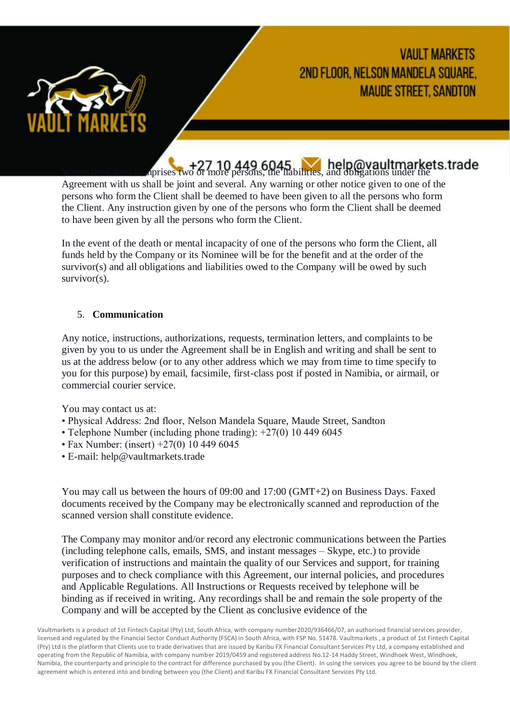

+27 10 449 6045 help@vaultmarkets.trade

Agreement with us shall be joint and several. Any warning or other notice given to one of the persons who form the Client shall be deemed to have been given to all the persons who form the Client. Any instruction given by one of the persons who form the Client shall be deemed to have been given by all the persons who form the Client.

In the event of the death or mental incapacity of one of the persons who form the Client, all funds held by the Company or its Nominee will be for the benefit and at the order of the survivor(s) and all obligations and liabilities owed to the Company will be owed by such survivor(s).

# 5. **Communication**

Any notice, instructions, authorizations, requests, termination letters, and complaints to be given by you to us under the Agreement shall be in English and writing and shall be sent to us at the address below (or to any other address which we may from time to time specify to you for this purpose) by email, facsimile, first-class post if posted in Namibia, or airmail, or commercial courier service.

You may contact us at:

- Physical Address: 2nd floor, Nelson Mandela Square, Maude Street, Sandton
- Telephone Number (including phone trading): +27(0) 10 449 6045
- Fax Number: (insert) +27(0) 10 449 6045
- E-mail: help@vaultmarkets.trade

You may call us between the hours of 09:00 and 17:00 (GMT+2) on Business Days. Faxed documents received by the Company may be electronically scanned and reproduction of the scanned version shall constitute evidence.

The Company may monitor and/or record any electronic communications between the Parties (including telephone calls, emails, SMS, and instant messages – Skype, etc.) to provide verification of instructions and maintain the quality of our Services and support, for training purposes and to check compliance with this Agreement, our internal policies, and procedures and Applicable Regulations. All Instructions or Requests received by telephone will be binding as if received in writing. Any recordings shall be and remain the sole property of the Company and will be accepted by the Client as conclusive evidence of the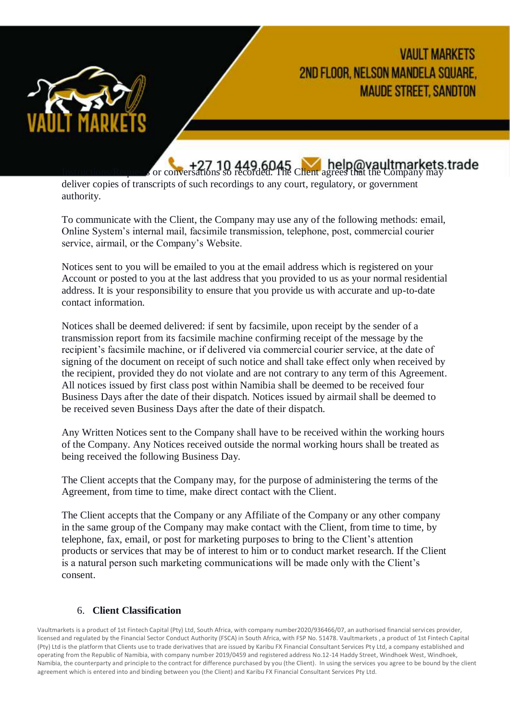

+27 10 449 6045 help@vaultmarkets.trade

deliver copies of transcripts of such recordings to any court, regulatory, or government authority.

To communicate with the Client, the Company may use any of the following methods: email, Online System's internal mail, facsimile transmission, telephone, post, commercial courier service, airmail, or the Company's Website.

Notices sent to you will be emailed to you at the email address which is registered on your Account or posted to you at the last address that you provided to us as your normal residential address. It is your responsibility to ensure that you provide us with accurate and up-to-date contact information.

Notices shall be deemed delivered: if sent by facsimile, upon receipt by the sender of a transmission report from its facsimile machine confirming receipt of the message by the recipient's facsimile machine, or if delivered via commercial courier service, at the date of signing of the document on receipt of such notice and shall take effect only when received by the recipient, provided they do not violate and are not contrary to any term of this Agreement. All notices issued by first class post within Namibia shall be deemed to be received four Business Days after the date of their dispatch. Notices issued by airmail shall be deemed to be received seven Business Days after the date of their dispatch.

Any Written Notices sent to the Company shall have to be received within the working hours of the Company. Any Notices received outside the normal working hours shall be treated as being received the following Business Day.

The Client accepts that the Company may, for the purpose of administering the terms of the Agreement, from time to time, make direct contact with the Client.

The Client accepts that the Company or any Affiliate of the Company or any other company in the same group of the Company may make contact with the Client, from time to time, by telephone, fax, email, or post for marketing purposes to bring to the Client's attention products or services that may be of interest to him or to conduct market research. If the Client is a natural person such marketing communications will be made only with the Client's consent.

# 6. **Client Classification**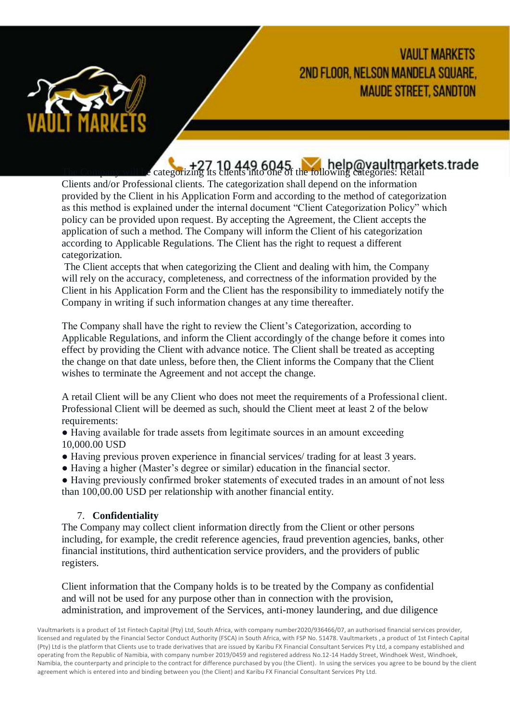

**The Company will be categorizing its clients into one of the following categories: Retail** 

Clients and/or Professional clients. The categorization shall depend on the information provided by the Client in his Application Form and according to the method of categorization as this method is explained under the internal document "Client Categorization Policy" which policy can be provided upon request. By accepting the Agreement, the Client accepts the application of such a method. The Company will inform the Client of his categorization according to Applicable Regulations. The Client has the right to request a different categorization.

The Client accepts that when categorizing the Client and dealing with him, the Company will rely on the accuracy, completeness, and correctness of the information provided by the Client in his Application Form and the Client has the responsibility to immediately notify the Company in writing if such information changes at any time thereafter.

The Company shall have the right to review the Client's Categorization, according to Applicable Regulations, and inform the Client accordingly of the change before it comes into effect by providing the Client with advance notice. The Client shall be treated as accepting the change on that date unless, before then, the Client informs the Company that the Client wishes to terminate the Agreement and not accept the change.

A retail Client will be any Client who does not meet the requirements of a Professional client. Professional Client will be deemed as such, should the Client meet at least 2 of the below requirements:

● Having available for trade assets from legitimate sources in an amount exceeding 10,000.00 USD

- Having previous proven experience in financial services/ trading for at least 3 years.
- Having a higher (Master's degree or similar) education in the financial sector.

● Having previously confirmed broker statements of executed trades in an amount of not less than 100,00.00 USD per relationship with another financial entity.

# 7. **Confidentiality**

The Company may collect client information directly from the Client or other persons including, for example, the credit reference agencies, fraud prevention agencies, banks, other financial institutions, third authentication service providers, and the providers of public registers.

Client information that the Company holds is to be treated by the Company as confidential and will not be used for any purpose other than in connection with the provision, administration, and improvement of the Services, anti-money laundering, and due diligence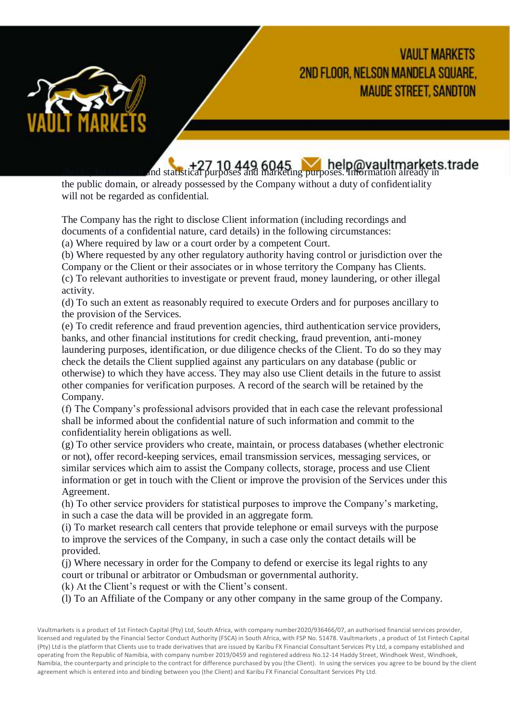

<sup>+27</sup> 10 449 6045<br>And statistical purposes and marketing purposes. Information already in

the public domain, or already possessed by the Company without a duty of confidentiality will not be regarded as confidential.

The Company has the right to disclose Client information (including recordings and documents of a confidential nature, card details) in the following circumstances:

(a) Where required by law or a court order by a competent Court.

(b) Where requested by any other regulatory authority having control or jurisdiction over the Company or the Client or their associates or in whose territory the Company has Clients.

(c) To relevant authorities to investigate or prevent fraud, money laundering, or other illegal activity.

(d) To such an extent as reasonably required to execute Orders and for purposes ancillary to the provision of the Services.

(e) To credit reference and fraud prevention agencies, third authentication service providers, banks, and other financial institutions for credit checking, fraud prevention, anti-money laundering purposes, identification, or due diligence checks of the Client. To do so they may check the details the Client supplied against any particulars on any database (public or otherwise) to which they have access. They may also use Client details in the future to assist other companies for verification purposes. A record of the search will be retained by the Company.

(f) The Company's professional advisors provided that in each case the relevant professional shall be informed about the confidential nature of such information and commit to the confidentiality herein obligations as well.

(g) To other service providers who create, maintain, or process databases (whether electronic or not), offer record-keeping services, email transmission services, messaging services, or similar services which aim to assist the Company collects, storage, process and use Client information or get in touch with the Client or improve the provision of the Services under this Agreement.

(h) To other service providers for statistical purposes to improve the Company's marketing, in such a case the data will be provided in an aggregate form.

(i) To market research call centers that provide telephone or email surveys with the purpose to improve the services of the Company, in such a case only the contact details will be provided.

(j) Where necessary in order for the Company to defend or exercise its legal rights to any court or tribunal or arbitrator or Ombudsman or governmental authority.

(k) At the Client's request or with the Client's consent.

(l) To an Affiliate of the Company or any other company in the same group of the Company.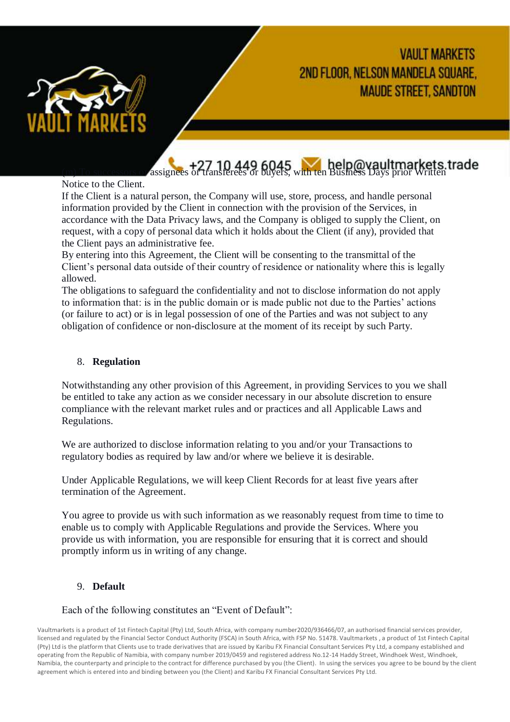

<sup>+27</sup> 10 449 6045, with ten Business Days prior Written assignees or transferees or buyers, with ten Business Days prior Written

Notice to the Client.

If the Client is a natural person, the Company will use, store, process, and handle personal information provided by the Client in connection with the provision of the Services, in accordance with the Data Privacy laws, and the Company is obliged to supply the Client, on request, with a copy of personal data which it holds about the Client (if any), provided that the Client pays an administrative fee.

By entering into this Agreement, the Client will be consenting to the transmittal of the Client's personal data outside of their country of residence or nationality where this is legally allowed.

The obligations to safeguard the confidentiality and not to disclose information do not apply to information that: is in the public domain or is made public not due to the Parties' actions (or failure to act) or is in legal possession of one of the Parties and was not subject to any obligation of confidence or non-disclosure at the moment of its receipt by such Party.

#### 8. **Regulation**

Notwithstanding any other provision of this Agreement, in providing Services to you we shall be entitled to take any action as we consider necessary in our absolute discretion to ensure compliance with the relevant market rules and or practices and all Applicable Laws and Regulations.

We are authorized to disclose information relating to you and/or your Transactions to regulatory bodies as required by law and/or where we believe it is desirable.

Under Applicable Regulations, we will keep Client Records for at least five years after termination of the Agreement.

You agree to provide us with such information as we reasonably request from time to time to enable us to comply with Applicable Regulations and provide the Services. Where you provide us with information, you are responsible for ensuring that it is correct and should promptly inform us in writing of any change.

# 9. **Default**

#### Each of the following constitutes an "Event of Default":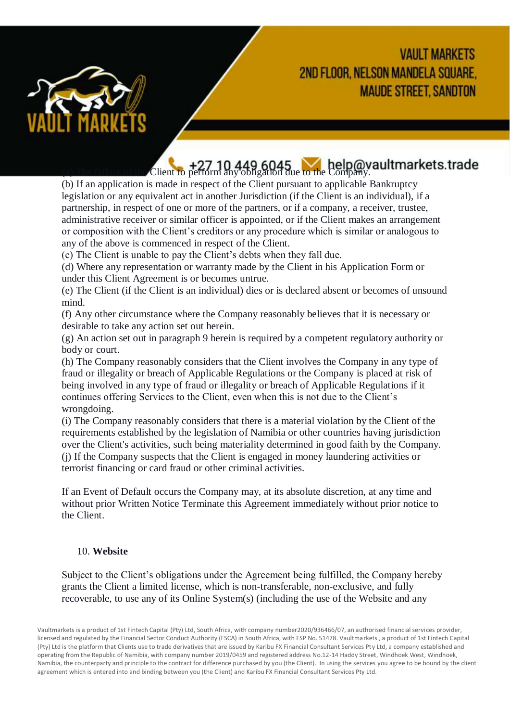

(a)  $+27$  10 449 6045 help@vaultmarkets.trade

(b) If an application is made in respect of the Client pursuant to applicable Bankruptcy legislation or any equivalent act in another Jurisdiction (if the Client is an individual), if a partnership, in respect of one or more of the partners, or if a company, a receiver, trustee, administrative receiver or similar officer is appointed, or if the Client makes an arrangement or composition with the Client's creditors or any procedure which is similar or analogous to any of the above is commenced in respect of the Client.

(c) The Client is unable to pay the Client's debts when they fall due.

(d) Where any representation or warranty made by the Client in his Application Form or under this Client Agreement is or becomes untrue.

(e) The Client (if the Client is an individual) dies or is declared absent or becomes of unsound mind.

(f) Any other circumstance where the Company reasonably believes that it is necessary or desirable to take any action set out herein.

(g) An action set out in paragraph 9 herein is required by a competent regulatory authority or body or court.

(h) The Company reasonably considers that the Client involves the Company in any type of fraud or illegality or breach of Applicable Regulations or the Company is placed at risk of being involved in any type of fraud or illegality or breach of Applicable Regulations if it continues offering Services to the Client, even when this is not due to the Client's wrongdoing.

(i) The Company reasonably considers that there is a material violation by the Client of the requirements established by the legislation of Namibia or other countries having jurisdiction over the Client's activities, such being materiality determined in good faith by the Company. (j) If the Company suspects that the Client is engaged in money laundering activities or terrorist financing or card fraud or other criminal activities.

If an Event of Default occurs the Company may, at its absolute discretion, at any time and without prior Written Notice Terminate this Agreement immediately without prior notice to the Client.

#### 10. **Website**

Subject to the Client's obligations under the Agreement being fulfilled, the Company hereby grants the Client a limited license, which is non-transferable, non-exclusive, and fully recoverable, to use any of its Online System(s) (including the use of the Website and any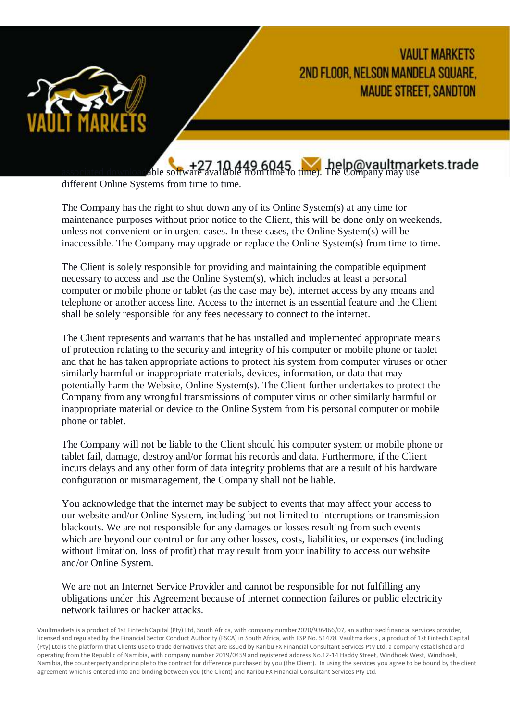

<sup>+27</sup> 10,449,6045<br>Able software available from time to time). The Company may use

different Online Systems from time to time.

The Company has the right to shut down any of its Online System(s) at any time for maintenance purposes without prior notice to the Client, this will be done only on weekends, unless not convenient or in urgent cases. In these cases, the Online System(s) will be inaccessible. The Company may upgrade or replace the Online System(s) from time to time.

The Client is solely responsible for providing and maintaining the compatible equipment necessary to access and use the Online System(s), which includes at least a personal computer or mobile phone or tablet (as the case may be), internet access by any means and telephone or another access line. Access to the internet is an essential feature and the Client shall be solely responsible for any fees necessary to connect to the internet.

The Client represents and warrants that he has installed and implemented appropriate means of protection relating to the security and integrity of his computer or mobile phone or tablet and that he has taken appropriate actions to protect his system from computer viruses or other similarly harmful or inappropriate materials, devices, information, or data that may potentially harm the Website, Online System(s). The Client further undertakes to protect the Company from any wrongful transmissions of computer virus or other similarly harmful or inappropriate material or device to the Online System from his personal computer or mobile phone or tablet.

The Company will not be liable to the Client should his computer system or mobile phone or tablet fail, damage, destroy and/or format his records and data. Furthermore, if the Client incurs delays and any other form of data integrity problems that are a result of his hardware configuration or mismanagement, the Company shall not be liable.

You acknowledge that the internet may be subject to events that may affect your access to our website and/or Online System, including but not limited to interruptions or transmission blackouts. We are not responsible for any damages or losses resulting from such events which are beyond our control or for any other losses, costs, liabilities, or expenses (including without limitation, loss of profit) that may result from your inability to access our website and/or Online System.

We are not an Internet Service Provider and cannot be responsible for not fulfilling any obligations under this Agreement because of internet connection failures or public electricity network failures or hacker attacks.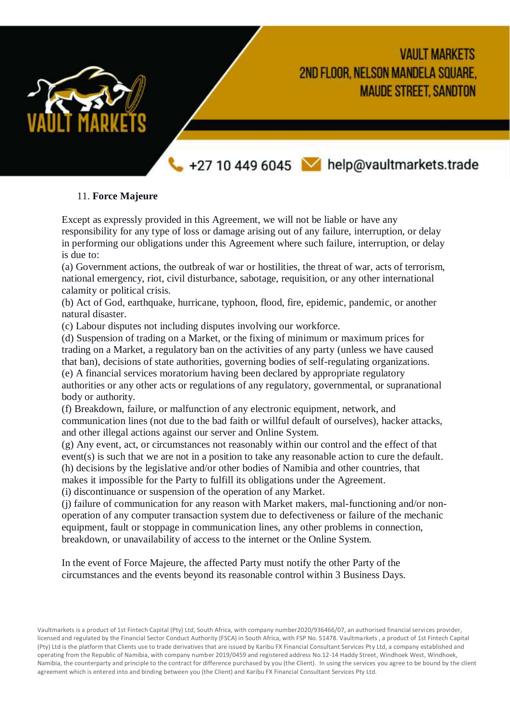

+27 10 449 6045 help@vaultmarkets.trade

# 11. **Force Majeure**

Except as expressly provided in this Agreement, we will not be liable or have any responsibility for any type of loss or damage arising out of any failure, interruption, or delay in performing our obligations under this Agreement where such failure, interruption, or delay is due to:

(a) Government actions, the outbreak of war or hostilities, the threat of war, acts of terrorism, national emergency, riot, civil disturbance, sabotage, requisition, or any other international calamity or political crisis.

(b) Act of God, earthquake, hurricane, typhoon, flood, fire, epidemic, pandemic, or another natural disaster.

(c) Labour disputes not including disputes involving our workforce.

(d) Suspension of trading on a Market, or the fixing of minimum or maximum prices for trading on a Market, a regulatory ban on the activities of any party (unless we have caused that ban), decisions of state authorities, governing bodies of self-regulating organizations. (e) A financial services moratorium having been declared by appropriate regulatory authorities or any other acts or regulations of any regulatory, governmental, or supranational body or authority.

(f) Breakdown, failure, or malfunction of any electronic equipment, network, and communication lines (not due to the bad faith or willful default of ourselves), hacker attacks, and other illegal actions against our server and Online System.

(g) Any event, act, or circumstances not reasonably within our control and the effect of that event(s) is such that we are not in a position to take any reasonable action to cure the default. (h) decisions by the legislative and/or other bodies of Namibia and other countries, that

makes it impossible for the Party to fulfill its obligations under the Agreement.

(i) discontinuance or suspension of the operation of any Market.

(j) failure of communication for any reason with Market makers, mal-functioning and/or nonoperation of any computer transaction system due to defectiveness or failure of the mechanic equipment, fault or stoppage in communication lines, any other problems in connection, breakdown, or unavailability of access to the internet or the Online System.

In the event of Force Majeure, the affected Party must notify the other Party of the circumstances and the events beyond its reasonable control within 3 Business Days.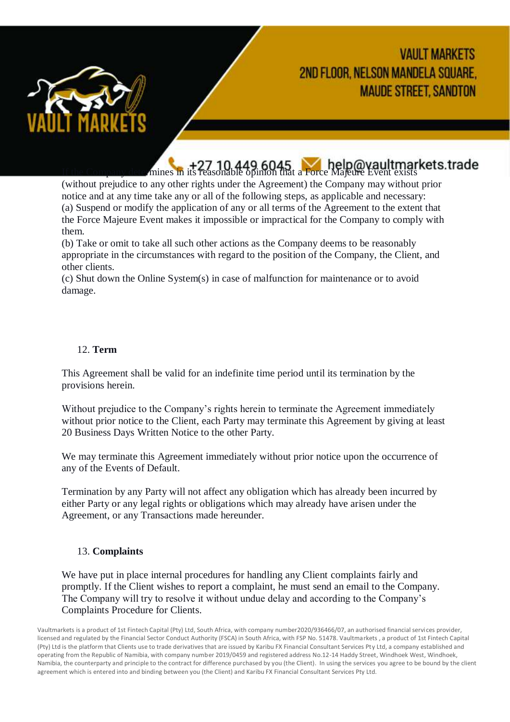

 $+27$  10,449,6045<br>In the Company determines in its reasonable opinion that a Force Majeure Event exists

(without prejudice to any other rights under the Agreement) the Company may without prior notice and at any time take any or all of the following steps, as applicable and necessary: (a) Suspend or modify the application of any or all terms of the Agreement to the extent that the Force Majeure Event makes it impossible or impractical for the Company to comply with them.

(b) Take or omit to take all such other actions as the Company deems to be reasonably appropriate in the circumstances with regard to the position of the Company, the Client, and other clients.

(c) Shut down the Online System(s) in case of malfunction for maintenance or to avoid damage.

#### 12. **Term**

This Agreement shall be valid for an indefinite time period until its termination by the provisions herein.

Without prejudice to the Company's rights herein to terminate the Agreement immediately without prior notice to the Client, each Party may terminate this Agreement by giving at least 20 Business Days Written Notice to the other Party.

We may terminate this Agreement immediately without prior notice upon the occurrence of any of the Events of Default.

Termination by any Party will not affect any obligation which has already been incurred by either Party or any legal rights or obligations which may already have arisen under the Agreement, or any Transactions made hereunder.

#### 13. **Complaints**

We have put in place internal procedures for handling any Client complaints fairly and promptly. If the Client wishes to report a complaint, he must send an email to the Company. The Company will try to resolve it without undue delay and according to the Company's Complaints Procedure for Clients.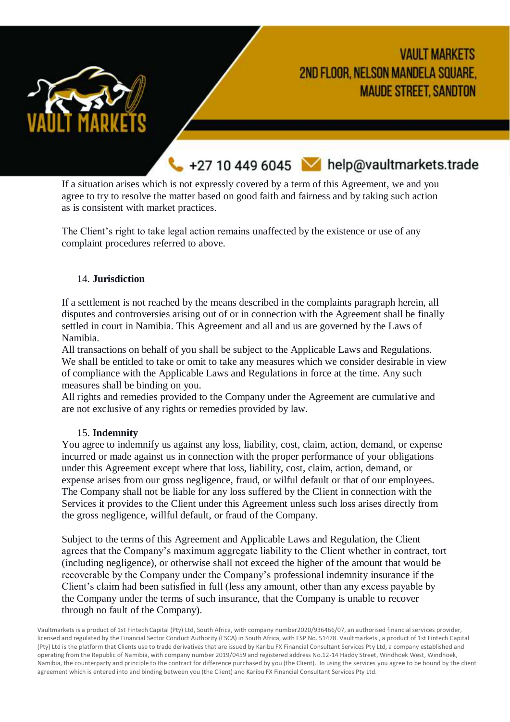

+27 10 449 6045 Melp@vaultmarkets.trade

If a situation arises which is not expressly covered by a term of this Agreement, we and you agree to try to resolve the matter based on good faith and fairness and by taking such action as is consistent with market practices.

The Client's right to take legal action remains unaffected by the existence or use of any complaint procedures referred to above.

#### 14. **Jurisdiction**

If a settlement is not reached by the means described in the complaints paragraph herein, all disputes and controversies arising out of or in connection with the Agreement shall be finally settled in court in Namibia. This Agreement and all and us are governed by the Laws of Namibia.

All transactions on behalf of you shall be subject to the Applicable Laws and Regulations. We shall be entitled to take or omit to take any measures which we consider desirable in view of compliance with the Applicable Laws and Regulations in force at the time. Any such measures shall be binding on you.

All rights and remedies provided to the Company under the Agreement are cumulative and are not exclusive of any rights or remedies provided by law.

#### 15. **Indemnity**

You agree to indemnify us against any loss, liability, cost, claim, action, demand, or expense incurred or made against us in connection with the proper performance of your obligations under this Agreement except where that loss, liability, cost, claim, action, demand, or expense arises from our gross negligence, fraud, or wilful default or that of our employees. The Company shall not be liable for any loss suffered by the Client in connection with the Services it provides to the Client under this Agreement unless such loss arises directly from the gross negligence, willful default, or fraud of the Company.

Subject to the terms of this Agreement and Applicable Laws and Regulation, the Client agrees that the Company's maximum aggregate liability to the Client whether in contract, tort (including negligence), or otherwise shall not exceed the higher of the amount that would be recoverable by the Company under the Company's professional indemnity insurance if the Client's claim had been satisfied in full (less any amount, other than any excess payable by the Company under the terms of such insurance, that the Company is unable to recover through no fault of the Company).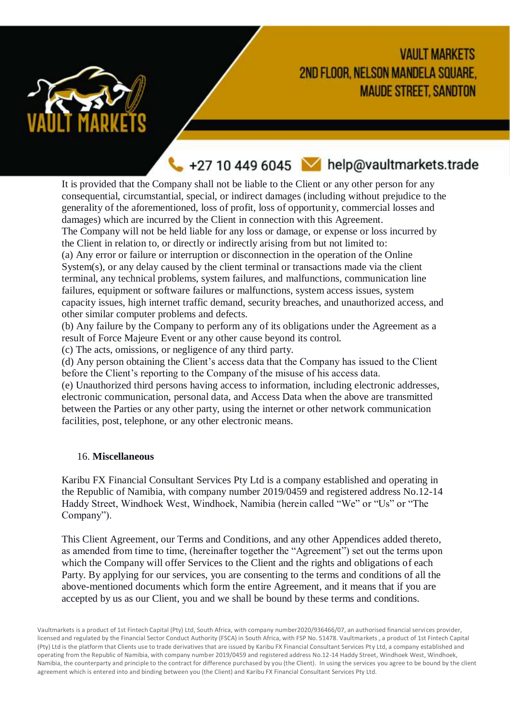

+27 10 449 6045 Melp@vaultmarkets.trade

It is provided that the Company shall not be liable to the Client or any other person for any consequential, circumstantial, special, or indirect damages (including without prejudice to the generality of the aforementioned, loss of profit, loss of opportunity, commercial losses and damages) which are incurred by the Client in connection with this Agreement.

The Company will not be held liable for any loss or damage, or expense or loss incurred by the Client in relation to, or directly or indirectly arising from but not limited to:

(a) Any error or failure or interruption or disconnection in the operation of the Online System(s), or any delay caused by the client terminal or transactions made via the client terminal, any technical problems, system failures, and malfunctions, communication line failures, equipment or software failures or malfunctions, system access issues, system capacity issues, high internet traffic demand, security breaches, and unauthorized access, and other similar computer problems and defects.

(b) Any failure by the Company to perform any of its obligations under the Agreement as a result of Force Majeure Event or any other cause beyond its control.

(c) The acts, omissions, or negligence of any third party.

(d) Any person obtaining the Client's access data that the Company has issued to the Client before the Client's reporting to the Company of the misuse of his access data.

(e) Unauthorized third persons having access to information, including electronic addresses, electronic communication, personal data, and Access Data when the above are transmitted between the Parties or any other party, using the internet or other network communication facilities, post, telephone, or any other electronic means.

#### 16. **Miscellaneous**

Karibu FX Financial Consultant Services Pty Ltd is a company established and operating in the Republic of Namibia, with company number 2019/0459 and registered address No.12-14 Haddy Street, Windhoek West, Windhoek, Namibia (herein called "We" or "Us" or "The Company").

This Client Agreement, our Terms and Conditions, and any other Appendices added thereto, as amended from time to time, (hereinafter together the "Agreement") set out the terms upon which the Company will offer Services to the Client and the rights and obligations of each Party. By applying for our services, you are consenting to the terms and conditions of all the above-mentioned documents which form the entire Agreement, and it means that if you are accepted by us as our Client, you and we shall be bound by these terms and conditions.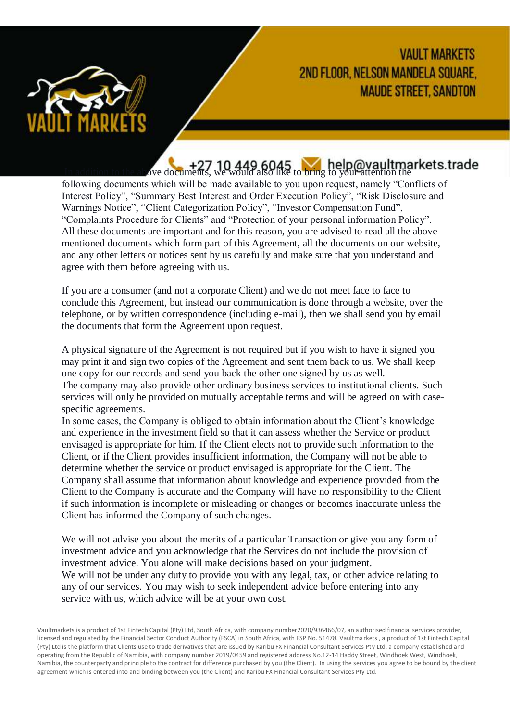

<sup>+27</sup> 10 449 6045 help@vaultmarkets.trade

following documents which will be made available to you upon request, namely "Conflicts of Interest Policy", "Summary Best Interest and Order Execution Policy", "Risk Disclosure and Warnings Notice", "Client Categorization Policy", "Investor Compensation Fund", "Complaints Procedure for Clients" and "Protection of your personal information Policy". All these documents are important and for this reason, you are advised to read all the abovementioned documents which form part of this Agreement, all the documents on our website, and any other letters or notices sent by us carefully and make sure that you understand and agree with them before agreeing with us.

If you are a consumer (and not a corporate Client) and we do not meet face to face to conclude this Agreement, but instead our communication is done through a website, over the telephone, or by written correspondence (including e-mail), then we shall send you by email the documents that form the Agreement upon request.

A physical signature of the Agreement is not required but if you wish to have it signed you may print it and sign two copies of the Agreement and sent them back to us. We shall keep one copy for our records and send you back the other one signed by us as well. The company may also provide other ordinary business services to institutional clients. Such services will only be provided on mutually acceptable terms and will be agreed on with casespecific agreements.

In some cases, the Company is obliged to obtain information about the Client's knowledge and experience in the investment field so that it can assess whether the Service or product envisaged is appropriate for him. If the Client elects not to provide such information to the Client, or if the Client provides insufficient information, the Company will not be able to determine whether the service or product envisaged is appropriate for the Client. The Company shall assume that information about knowledge and experience provided from the Client to the Company is accurate and the Company will have no responsibility to the Client if such information is incomplete or misleading or changes or becomes inaccurate unless the Client has informed the Company of such changes.

We will not advise you about the merits of a particular Transaction or give you any form of investment advice and you acknowledge that the Services do not include the provision of investment advice. You alone will make decisions based on your judgment. We will not be under any duty to provide you with any legal, tax, or other advice relating to any of our services. You may wish to seek independent advice before entering into any service with us, which advice will be at your own cost.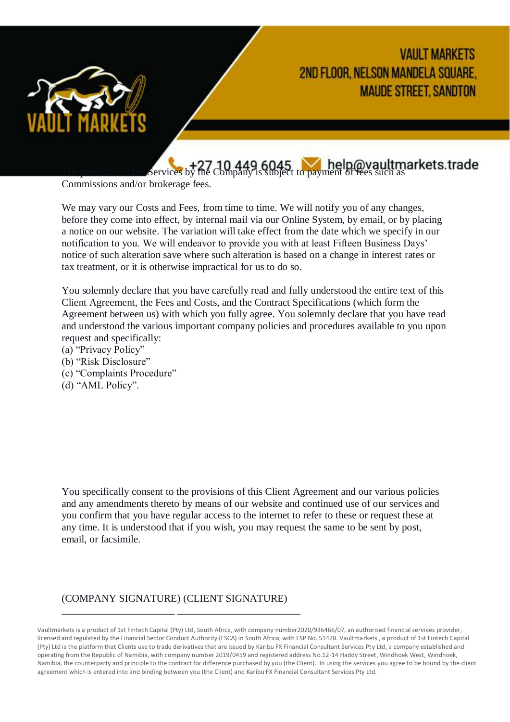

**The provision of the Services by the Company is subject to payment of fees such as** 

Commissions and/or brokerage fees.

We may vary our Costs and Fees, from time to time. We will notify you of any changes, before they come into effect, by internal mail via our Online System, by email, or by placing a notice on our website. The variation will take effect from the date which we specify in our notification to you. We will endeavor to provide you with at least Fifteen Business Days' notice of such alteration save where such alteration is based on a change in interest rates or tax treatment, or it is otherwise impractical for us to do so.

You solemnly declare that you have carefully read and fully understood the entire text of this Client Agreement, the Fees and Costs, and the Contract Specifications (which form the Agreement between us) with which you fully agree. You solemnly declare that you have read and understood the various important company policies and procedures available to you upon request and specifically:

- (a) "Privacy Policy"
- (b) "Risk Disclosure"
- (c) "Complaints Procedure"
- (d) "AML Policy".

You specifically consent to the provisions of this Client Agreement and our various policies and any amendments thereto by means of our website and continued use of our services and you confirm that you have regular access to the internet to refer to these or request these at any time. It is understood that if you wish, you may request the same to be sent by post, email, or facsimile.

# (COMPANY SIGNATURE) (CLIENT SIGNATURE)

\_\_\_\_\_\_\_\_\_\_\_\_\_\_\_\_\_\_\_\_\_\_ \_\_\_\_\_\_\_\_\_\_\_\_\_\_\_\_\_\_\_\_\_\_\_\_